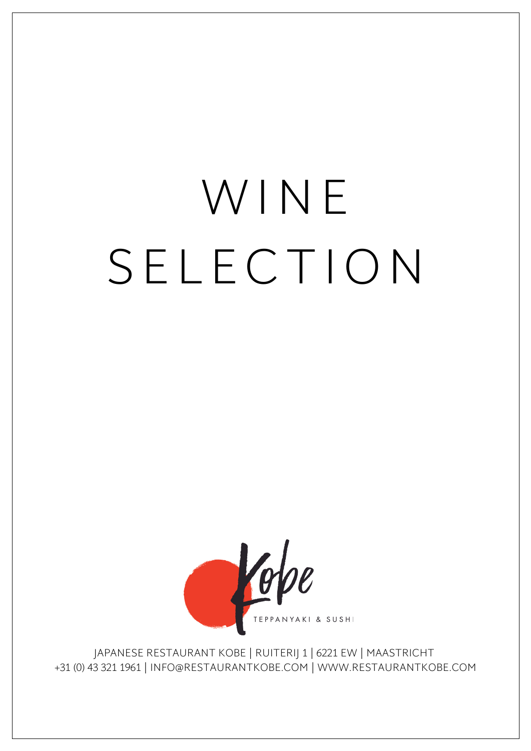# **SASHIMI** WINE SELECTION



JAPANESE RESTAURANT KOBE | RUITERIJ 1 | 6221 EW | MAASTRICHT +31 (0) 43 321 1961 | INFO@RESTAURANTKOBE.COM | WWW.RESTAURANTKOBE.COM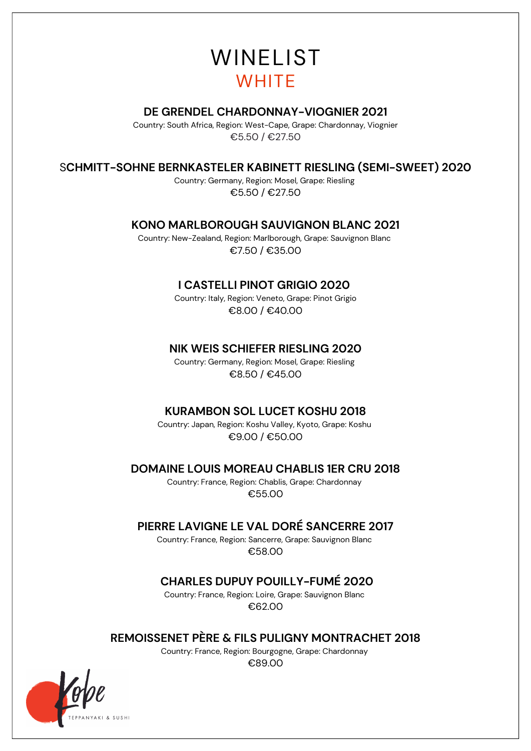# WINELIST **WHITE**

#### **DE GRENDEL CHARDONNAY-VIOGNIER 2021**

Country: South Africa, Region: West-Cape, Grape: Chardonnay, Viognier €5.50 / €27.50

#### S**CHMITT-SOHNE BERNKASTELER KABINETT RIESLING (SEMI-SWEET) 2020**

Country: Germany, Region: Mosel, Grape: Riesling €5.50 / €27.50

#### **KONO MARLBOROUGH SAUVIGNON BLANC 2021**

Country: New-Zealand, Region: Marlborough, Grape: Sauvignon Blanc €7.50 / €35.00

#### **I CASTELLI PINOT GRIGIO 2020**

Country: Italy, Region: Veneto, Grape: Pinot Grigio €8.00 / €40.00

#### **NIK WEIS SCHIEFER RIESLING 2020**

Country: Germany, Region: Mosel, Grape: Riesling €8.50 / €45.00

#### **KURAMBON SOL LUCET KOSHU 2018**

Country: Japan, Region: Koshu Valley, Kyoto, Grape: Koshu €9.00 / €50.00

#### **DOMAINE LOUIS MOREAU CHABLIS 1ER CRU 2018**

Country: France, Region: Chablis, Grape: Chardonnay €55.00

#### **PIERRE LAVIGNE LE VAL DORÉ SANCERRE 2017**

Country: France, Region: Sancerre, Grape: Sauvignon Blanc €58.00

#### **CHARLES DUPUY POUILLY-FUMÉ 2020**

Country: France, Region: Loire, Grape: Sauvignon Blanc €62.00

#### **REMOISSENET PÈRE & FILS PULIGNY MONTRACHET 2018**

Country: France, Region: Bourgogne, Grape: Chardonnay €89.00

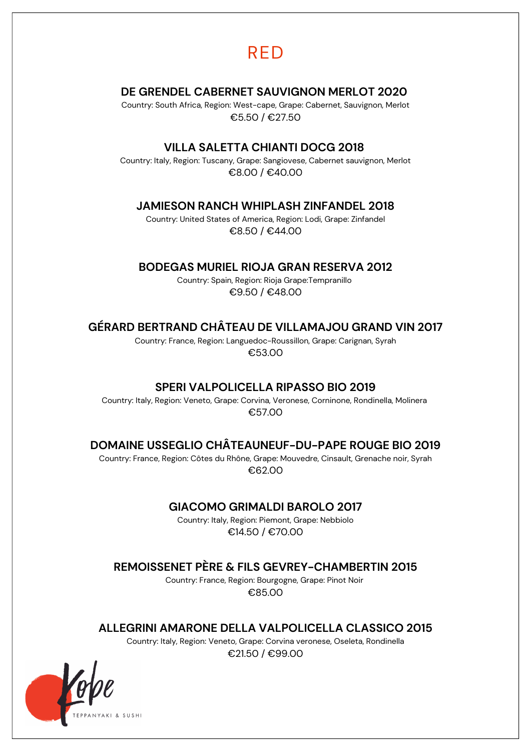### RED

#### **DE GRENDEL CABERNET SAUVIGNON MERLOT 2020**

Country: South Africa, Region: West-cape, Grape: Cabernet, Sauvignon, Merlot €5.50 / €27.50

#### **VILLA SALETTA CHIANTI DOCG 2018**

Country: Italy, Region: Tuscany, Grape: Sangiovese, Cabernet sauvignon, Merlot €8.00 / €40.00

#### **JAMIESON RANCH WHIPLASH ZINFANDEL 2018**

Country: United States of America, Region: Lodi, Grape: Zinfandel €8.50 / €44.00

#### **BODEGAS MURIEL RIOJA GRAN RESERVA 2012**

Country: Spain, Region: Rioja Grape:Tempranillo €9.50 / €48.00

#### **GÉRARD BERTRAND CHÂTEAU DE VILLAMAJOU GRAND VIN 2017**

Country: France, Region: Languedoc-Roussillon, Grape: Carignan, Syrah €53.00

#### **SPERI VALPOLICELLA RIPASSO BIO 2019**

Country: Italy, Region: Veneto, Grape: Corvina, Veronese, Corninone, Rondinella, Molinera €57.00

#### **DOMAINE USSEGLIO CHÂTEAUNEUF-DU-PAPE ROUGE BIO 2019**

Country: France, Region: Côtes du Rhône, Grape: Mouvedre, Cinsault, Grenache noir, Syrah €62.00

#### **GIACOMO GRIMALDI BAROLO 2017**

Country: Italy, Region: Piemont, Grape: Nebbiolo €14.50 / €70.00

**REMOISSENET PÈRE & FILS GEVREY-CHAMBERTIN 2015**

Country: France, Region: Bourgogne, Grape: Pinot Noir €85.00

**ALLEGRINI AMARONE DELLA VALPOLICELLA CLASSICO 2015**

Country: Italy, Region: Veneto, Grape: Corvina veronese, Oseleta, Rondinella €21.50 / €99.00